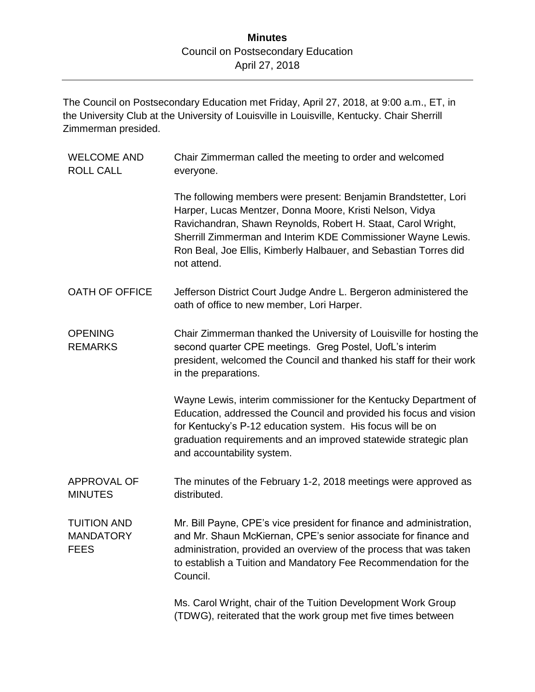The Council on Postsecondary Education met Friday, April 27, 2018, at 9:00 a.m., ET, in the University Club at the University of Louisville in Louisville, Kentucky. Chair Sherrill Zimmerman presided.

| <b>WELCOME AND</b><br><b>ROLL CALL</b>                | Chair Zimmerman called the meeting to order and welcomed<br>everyone.                                                                                                                                                                                                                                                                          |
|-------------------------------------------------------|------------------------------------------------------------------------------------------------------------------------------------------------------------------------------------------------------------------------------------------------------------------------------------------------------------------------------------------------|
|                                                       | The following members were present: Benjamin Brandstetter, Lori<br>Harper, Lucas Mentzer, Donna Moore, Kristi Nelson, Vidya<br>Ravichandran, Shawn Reynolds, Robert H. Staat, Carol Wright,<br>Sherrill Zimmerman and Interim KDE Commissioner Wayne Lewis.<br>Ron Beal, Joe Ellis, Kimberly Halbauer, and Sebastian Torres did<br>not attend. |
| OATH OF OFFICE                                        | Jefferson District Court Judge Andre L. Bergeron administered the<br>oath of office to new member, Lori Harper.                                                                                                                                                                                                                                |
| <b>OPENING</b><br><b>REMARKS</b>                      | Chair Zimmerman thanked the University of Louisville for hosting the<br>second quarter CPE meetings. Greg Postel, UofL's interim<br>president, welcomed the Council and thanked his staff for their work<br>in the preparations.                                                                                                               |
|                                                       | Wayne Lewis, interim commissioner for the Kentucky Department of<br>Education, addressed the Council and provided his focus and vision<br>for Kentucky's P-12 education system. His focus will be on<br>graduation requirements and an improved statewide strategic plan<br>and accountability system.                                         |
| APPROVAL OF<br><b>MINUTES</b>                         | The minutes of the February 1-2, 2018 meetings were approved as<br>distributed.                                                                                                                                                                                                                                                                |
| <b>TUITION AND</b><br><b>MANDATORY</b><br><b>FEES</b> | Mr. Bill Payne, CPE's vice president for finance and administration,<br>and Mr. Shaun McKiernan, CPE's senior associate for finance and<br>administration, provided an overview of the process that was taken<br>to establish a Tuition and Mandatory Fee Recommendation for the<br>Council.                                                   |
|                                                       | Ms. Carol Wright, chair of the Tuition Development Work Group<br>(TDWG), reiterated that the work group met five times between                                                                                                                                                                                                                 |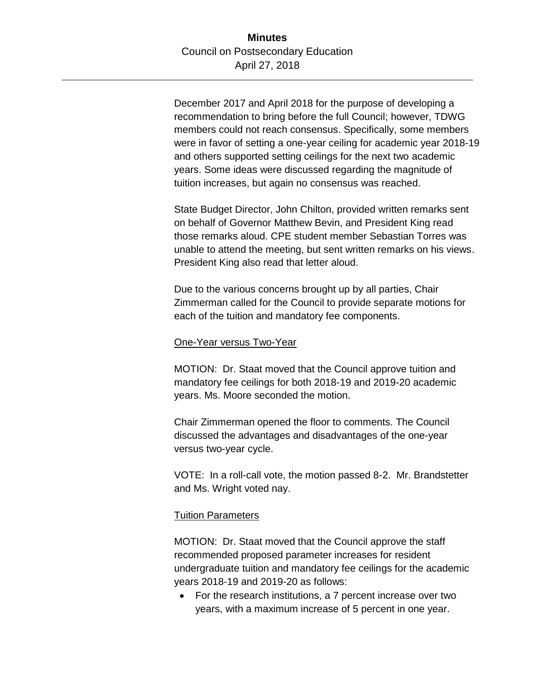December 2017 and April 2018 for the purpose of developing a recommendation to bring before the full Council; however, TDWG members could not reach consensus. Specifically, some members were in favor of setting a one-year ceiling for academic year 2018-19 and others supported setting ceilings for the next two academic years. Some ideas were discussed regarding the magnitude of tuition increases, but again no consensus was reached.

State Budget Director, John Chilton, provided written remarks sent on behalf of Governor Matthew Bevin, and President King read those remarks aloud. CPE student member Sebastian Torres was unable to attend the meeting, but sent written remarks on his views. President King also read that letter aloud.

Due to the various concerns brought up by all parties, Chair Zimmerman called for the Council to provide separate motions for each of the tuition and mandatory fee components.

#### One-Year versus Two-Year

MOTION: Dr. Staat moved that the Council approve tuition and mandatory fee ceilings for both 2018-19 and 2019-20 academic years. Ms. Moore seconded the motion.

Chair Zimmerman opened the floor to comments. The Council discussed the advantages and disadvantages of the one-year versus two-year cycle.

VOTE: In a roll-call vote, the motion passed 8-2. Mr. Brandstetter and Ms. Wright voted nay.

### Tuition Parameters

MOTION: Dr. Staat moved that the Council approve the staff recommended proposed parameter increases for resident undergraduate tuition and mandatory fee ceilings for the academic years 2018-19 and 2019-20 as follows:

 For the research institutions, a 7 percent increase over two years, with a maximum increase of 5 percent in one year.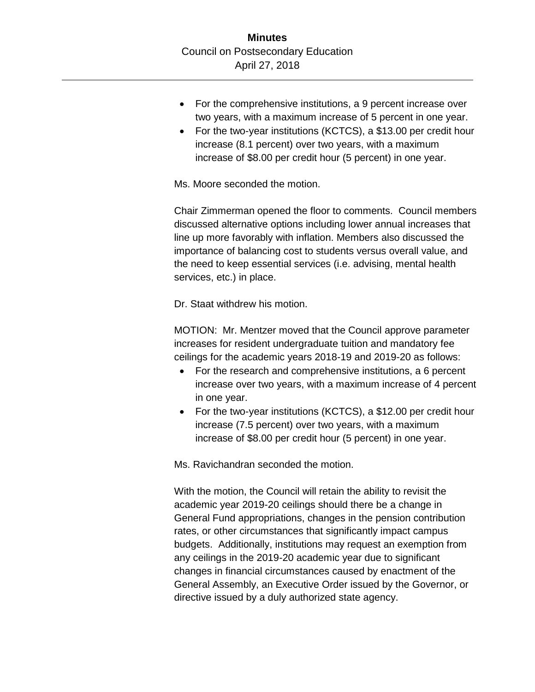- For the comprehensive institutions, a 9 percent increase over two years, with a maximum increase of 5 percent in one year.
- For the two-year institutions (KCTCS), a \$13.00 per credit hour increase (8.1 percent) over two years, with a maximum increase of \$8.00 per credit hour (5 percent) in one year.

Ms. Moore seconded the motion.

Chair Zimmerman opened the floor to comments. Council members discussed alternative options including lower annual increases that line up more favorably with inflation. Members also discussed the importance of balancing cost to students versus overall value, and the need to keep essential services (i.e. advising, mental health services, etc.) in place.

Dr. Staat withdrew his motion.

MOTION: Mr. Mentzer moved that the Council approve parameter increases for resident undergraduate tuition and mandatory fee ceilings for the academic years 2018-19 and 2019-20 as follows:

- For the research and comprehensive institutions, a 6 percent increase over two years, with a maximum increase of 4 percent in one year.
- For the two-year institutions (KCTCS), a \$12.00 per credit hour increase (7.5 percent) over two years, with a maximum increase of \$8.00 per credit hour (5 percent) in one year.

Ms. Ravichandran seconded the motion.

With the motion, the Council will retain the ability to revisit the academic year 2019-20 ceilings should there be a change in General Fund appropriations, changes in the pension contribution rates, or other circumstances that significantly impact campus budgets. Additionally, institutions may request an exemption from any ceilings in the 2019-20 academic year due to significant changes in financial circumstances caused by enactment of the General Assembly, an Executive Order issued by the Governor, or directive issued by a duly authorized state agency.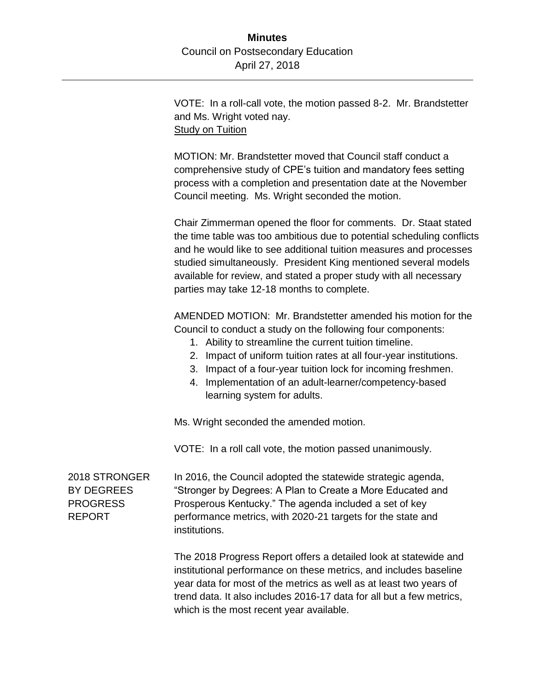VOTE: In a roll-call vote, the motion passed 8-2. Mr. Brandstetter and Ms. Wright voted nay. Study on Tuition

MOTION: Mr. Brandstetter moved that Council staff conduct a comprehensive study of CPE's tuition and mandatory fees setting process with a completion and presentation date at the November Council meeting. Ms. Wright seconded the motion.

Chair Zimmerman opened the floor for comments. Dr. Staat stated the time table was too ambitious due to potential scheduling conflicts and he would like to see additional tuition measures and processes studied simultaneously. President King mentioned several models available for review, and stated a proper study with all necessary parties may take 12-18 months to complete.

AMENDED MOTION: Mr. Brandstetter amended his motion for the Council to conduct a study on the following four components:

- 1. Ability to streamline the current tuition timeline.
- 2. Impact of uniform tuition rates at all four-year institutions.
- 3. Impact of a four-year tuition lock for incoming freshmen.
- 4. Implementation of an adult-learner/competency-based learning system for adults.

Ms. Wright seconded the amended motion.

VOTE: In a roll call vote, the motion passed unanimously.

2018 STRONGER BY DEGREES PROGRESS REPORT

In 2016, the Council adopted the statewide strategic agenda, "Stronger by Degrees: A Plan to Create a More Educated and Prosperous Kentucky." The agenda included a set of key performance metrics, with 2020-21 targets for the state and institutions.

The 2018 Progress Report offers a detailed look at statewide and institutional performance on these metrics, and includes baseline year data for most of the metrics as well as at least two years of trend data. It also includes 2016-17 data for all but a few metrics, which is the most recent year available.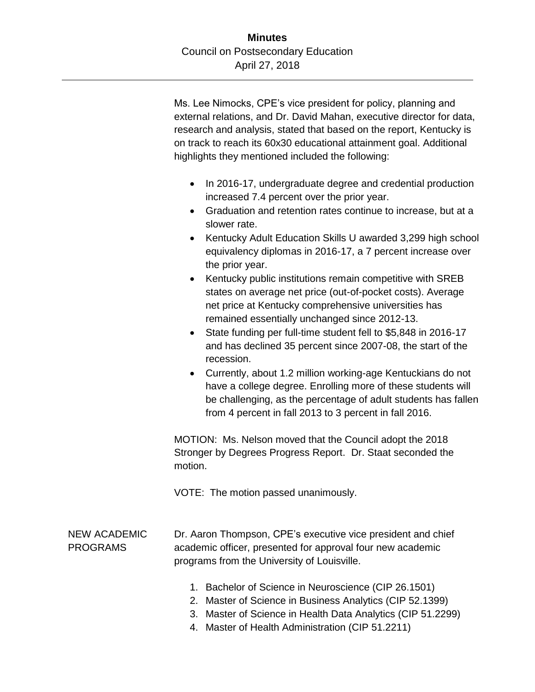Ms. Lee Nimocks, CPE's vice president for policy, planning and external relations, and Dr. David Mahan, executive director for data, research and analysis, stated that based on the report, Kentucky is on track to reach its 60x30 educational attainment goal. Additional highlights they mentioned included the following:

- In 2016-17, undergraduate degree and credential production increased 7.4 percent over the prior year.
- Graduation and retention rates continue to increase, but at a slower rate.
- Kentucky Adult Education Skills U awarded 3,299 high school equivalency diplomas in 2016-17, a 7 percent increase over the prior year.
- Kentucky public institutions remain competitive with SREB states on average net price (out-of-pocket costs). Average net price at Kentucky comprehensive universities has remained essentially unchanged since 2012-13.
- State funding per full-time student fell to \$5,848 in 2016-17 and has declined 35 percent since 2007-08, the start of the recession.
- Currently, about 1.2 million working-age Kentuckians do not have a college degree. Enrolling more of these students will be challenging, as the percentage of adult students has fallen from 4 percent in fall 2013 to 3 percent in fall 2016.

MOTION: Ms. Nelson moved that the Council adopt the 2018 Stronger by Degrees Progress Report. Dr. Staat seconded the motion.

VOTE: The motion passed unanimously.

## NEW ACADEMIC PROGRAMS

Dr. Aaron Thompson, CPE's executive vice president and chief academic officer, presented for approval four new academic programs from the University of Louisville.

- 1. Bachelor of Science in Neuroscience (CIP 26.1501)
- 2. Master of Science in Business Analytics (CIP 52.1399)
- 3. Master of Science in Health Data Analytics (CIP 51.2299)
- 4. Master of Health Administration (CIP 51.2211)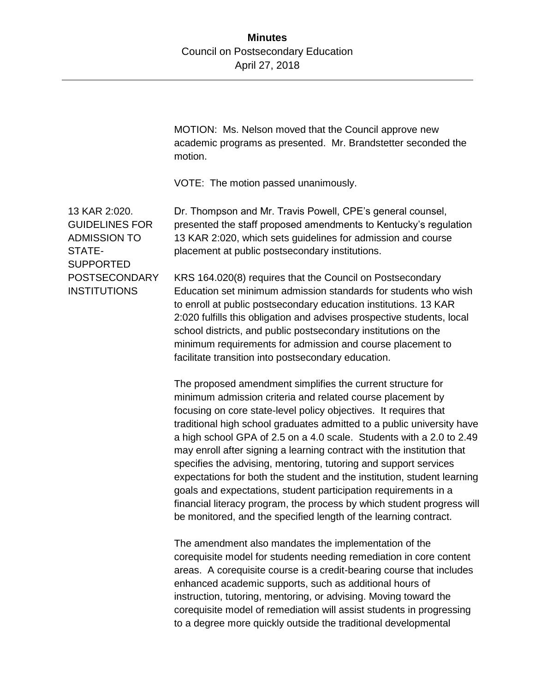MOTION: Ms. Nelson moved that the Council approve new academic programs as presented. Mr. Brandstetter seconded the motion.

VOTE: The motion passed unanimously.

13 KAR 2:020. GUIDELINES FOR ADMISSION TO STATE-**SUPPORTED** POSTSECONDARY **INSTITUTIONS** 

Dr. Thompson and Mr. Travis Powell, CPE's general counsel, presented the staff proposed amendments to Kentucky's regulation 13 KAR 2:020, which sets guidelines for admission and course placement at public postsecondary institutions.

KRS 164.020(8) requires that the Council on Postsecondary Education set minimum admission standards for students who wish to enroll at public postsecondary education institutions. 13 KAR 2:020 fulfills this obligation and advises prospective students, local school districts, and public postsecondary institutions on the minimum requirements for admission and course placement to facilitate transition into postsecondary education.

The proposed amendment simplifies the current structure for minimum admission criteria and related course placement by focusing on core state-level policy objectives. It requires that traditional high school graduates admitted to a public university have a high school GPA of 2.5 on a 4.0 scale. Students with a 2.0 to 2.49 may enroll after signing a learning contract with the institution that specifies the advising, mentoring, tutoring and support services expectations for both the student and the institution, student learning goals and expectations, student participation requirements in a financial literacy program, the process by which student progress will be monitored, and the specified length of the learning contract.

The amendment also mandates the implementation of the corequisite model for students needing remediation in core content areas. A corequisite course is a credit-bearing course that includes enhanced academic supports, such as additional hours of instruction, tutoring, mentoring, or advising. Moving toward the corequisite model of remediation will assist students in progressing to a degree more quickly outside the traditional developmental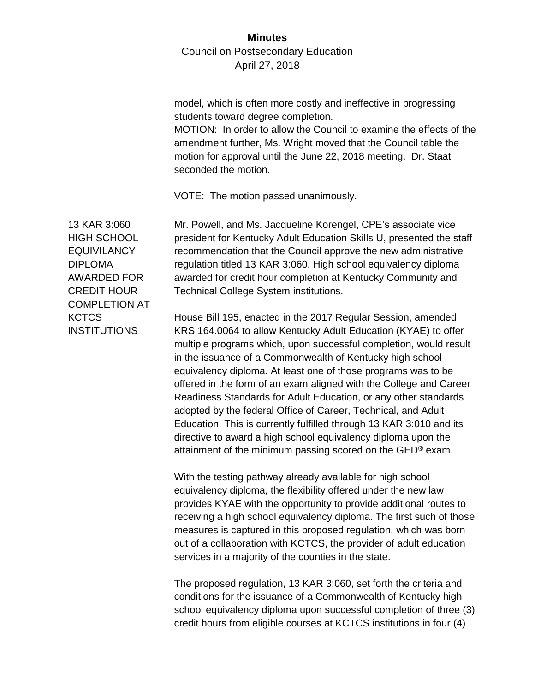model, which is often more costly and ineffective in progressing students toward degree completion.

MOTION: In order to allow the Council to examine the effects of the amendment further, Ms. Wright moved that the Council table the motion for approval until the June 22, 2018 meeting. Dr. Staat seconded the motion.

VOTE: The motion passed unanimously.

13 KAR 3:060 HIGH SCHOOL **EQUIVILANCY** DIPLOMA AWARDED FOR CREDIT HOUR COMPLETION AT **KCTCS INSTITUTIONS** 

Mr. Powell, and Ms. Jacqueline Korengel, CPE's associate vice president for Kentucky Adult Education Skills U, presented the staff recommendation that the Council approve the new administrative regulation titled 13 KAR 3:060. High school equivalency diploma awarded for credit hour completion at Kentucky Community and Technical College System institutions.

House Bill 195, enacted in the 2017 Regular Session, amended KRS 164.0064 to allow Kentucky Adult Education (KYAE) to offer multiple programs which, upon successful completion, would result in the issuance of a Commonwealth of Kentucky high school equivalency diploma. At least one of those programs was to be offered in the form of an exam aligned with the College and Career Readiness Standards for Adult Education, or any other standards adopted by the federal Office of Career, Technical, and Adult Education. This is currently fulfilled through 13 KAR 3:010 and its directive to award a high school equivalency diploma upon the attainment of the minimum passing scored on the GED® exam.

With the testing pathway already available for high school equivalency diploma, the flexibility offered under the new law provides KYAE with the opportunity to provide additional routes to receiving a high school equivalency diploma. The first such of those measures is captured in this proposed regulation, which was born out of a collaboration with KCTCS, the provider of adult education services in a majority of the counties in the state.

The proposed regulation, 13 KAR 3:060, set forth the criteria and conditions for the issuance of a Commonwealth of Kentucky high school equivalency diploma upon successful completion of three (3) credit hours from eligible courses at KCTCS institutions in four (4)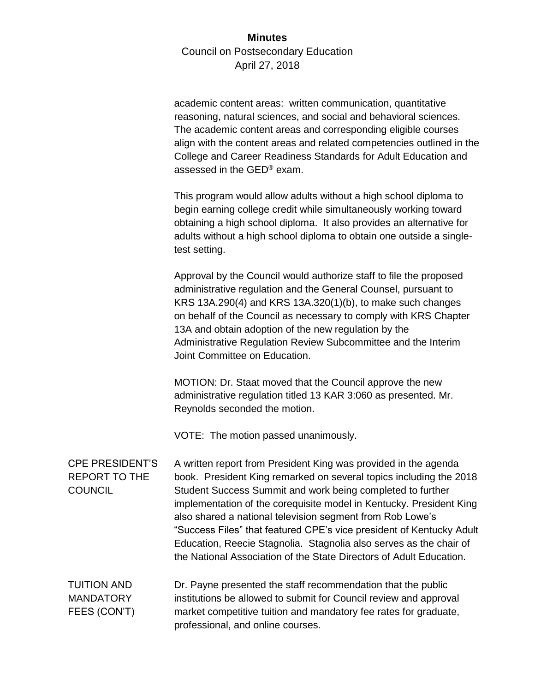academic content areas: written communication, quantitative reasoning, natural sciences, and social and behavioral sciences. The academic content areas and corresponding eligible courses align with the content areas and related competencies outlined in the College and Career Readiness Standards for Adult Education and assessed in the GED® exam.

This program would allow adults without a high school diploma to begin earning college credit while simultaneously working toward obtaining a high school diploma. It also provides an alternative for adults without a high school diploma to obtain one outside a singletest setting.

Approval by the Council would authorize staff to file the proposed administrative regulation and the General Counsel, pursuant to KRS 13A.290(4) and KRS 13A.320(1)(b), to make such changes on behalf of the Council as necessary to comply with KRS Chapter 13A and obtain adoption of the new regulation by the Administrative Regulation Review Subcommittee and the Interim Joint Committee on Education.

MOTION: Dr. Staat moved that the Council approve the new administrative regulation titled 13 KAR 3:060 as presented. Mr. Reynolds seconded the motion.

VOTE: The motion passed unanimously.

## CPE PRESIDENT'S REPORT TO THE COUNCIL

A written report from President King was provided in the agenda book. President King remarked on several topics including the 2018 Student Success Summit and work being completed to further implementation of the corequisite model in Kentucky. President King also shared a national television segment from Rob Lowe's "Success Files" that featured CPE's vice president of Kentucky Adult Education, Reecie Stagnolia. Stagnolia also serves as the chair of the National Association of the State Directors of Adult Education.

| <b>TUITION AND</b> | Dr. Payne presented the staff recommendation that the public      |
|--------------------|-------------------------------------------------------------------|
| <b>MANDATORY</b>   | institutions be allowed to submit for Council review and approval |
| FEES (CON'T)       | market competitive tuition and mandatory fee rates for graduate,  |
|                    | professional, and online courses.                                 |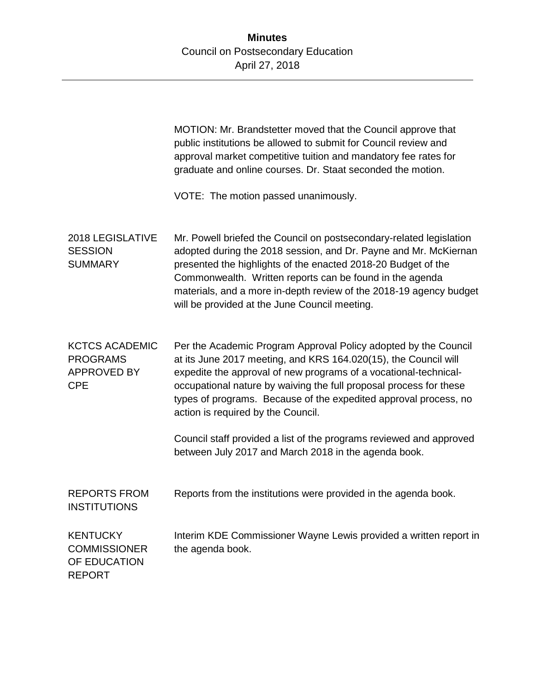MOTION: Mr. Brandstetter moved that the Council approve that public institutions be allowed to submit for Council review and approval market competitive tuition and mandatory fee rates for graduate and online courses. Dr. Staat seconded the motion. VOTE: The motion passed unanimously. 2018 LEGISLATIVE **SESSION SUMMARY** Mr. Powell briefed the Council on postsecondary-related legislation adopted during the 2018 session, and Dr. Payne and Mr. McKiernan presented the highlights of the enacted 2018-20 Budget of the Commonwealth. Written reports can be found in the agenda materials, and a more in-depth review of the 2018-19 agency budget will be provided at the June Council meeting. KCTCS ACADEMIC PROGRAMS APPROVED BY CPE Per the Academic Program Approval Policy adopted by the Council at its June 2017 meeting, and KRS 164.020(15), the Council will expedite the approval of new programs of a vocational-technicaloccupational nature by waiving the full proposal process for these types of programs. Because of the expedited approval process, no action is required by the Council. Council staff provided a list of the programs reviewed and approved between July 2017 and March 2018 in the agenda book. REPORTS FROM **INSTITUTIONS** Reports from the institutions were provided in the agenda book. **KENTUCKY COMMISSIONER** OF EDUCATION REPORT Interim KDE Commissioner Wayne Lewis provided a written report in the agenda book.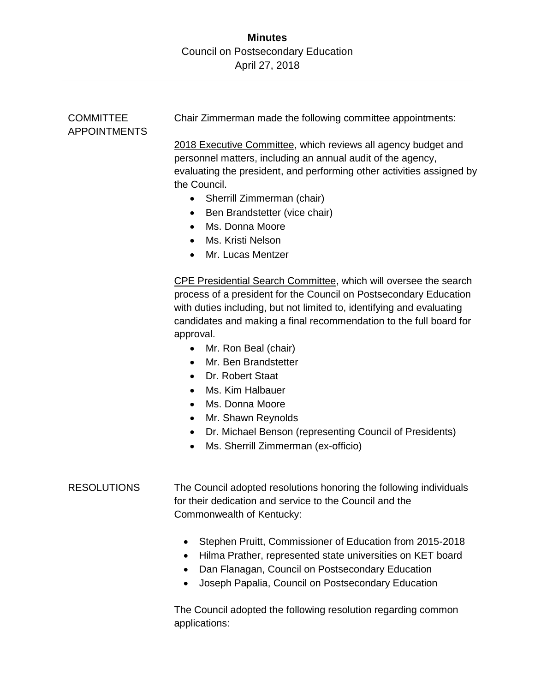| <b>COMMITTEE</b><br><b>APPOINTMENTS</b> | Chair Zimmerman made the following committee appointments:                                                                                                                                                                                                                                                                                                                                                                                                                                                                                                                                                                                          |
|-----------------------------------------|-----------------------------------------------------------------------------------------------------------------------------------------------------------------------------------------------------------------------------------------------------------------------------------------------------------------------------------------------------------------------------------------------------------------------------------------------------------------------------------------------------------------------------------------------------------------------------------------------------------------------------------------------------|
|                                         | 2018 Executive Committee, which reviews all agency budget and<br>personnel matters, including an annual audit of the agency,<br>evaluating the president, and performing other activities assigned by<br>the Council.<br>Sherrill Zimmerman (chair)<br>$\bullet$<br>Ben Brandstetter (vice chair)<br>٠<br>Ms. Donna Moore<br>$\bullet$<br>Ms. Kristi Nelson<br>Mr. Lucas Mentzer                                                                                                                                                                                                                                                                    |
|                                         | <b>CPE Presidential Search Committee, which will oversee the search</b><br>process of a president for the Council on Postsecondary Education<br>with duties including, but not limited to, identifying and evaluating<br>candidates and making a final recommendation to the full board for<br>approval.<br>Mr. Ron Beal (chair)<br>$\bullet$<br>Mr. Ben Brandstetter<br>$\bullet$<br>Dr. Robert Staat<br>$\bullet$<br>Ms. Kim Halbauer<br>$\bullet$<br>Ms. Donna Moore<br>$\bullet$<br>Mr. Shawn Reynolds<br>$\bullet$<br>Dr. Michael Benson (representing Council of Presidents)<br>$\bullet$<br>Ms. Sherrill Zimmerman (ex-officio)<br>$\bullet$ |
| <b>RESOLUTIONS</b>                      | The Council adopted resolutions honoring the following individuals<br>for their dedication and service to the Council and the<br>Commonwealth of Kentucky:                                                                                                                                                                                                                                                                                                                                                                                                                                                                                          |
|                                         | Stephen Pruitt, Commissioner of Education from 2015-2018<br>Hilma Prather, represented state universities on KET board<br>Dan Flanagan, Council on Postsecondary Education<br>Joseph Papalia, Council on Postsecondary Education                                                                                                                                                                                                                                                                                                                                                                                                                    |

The Council adopted the following resolution regarding common applications: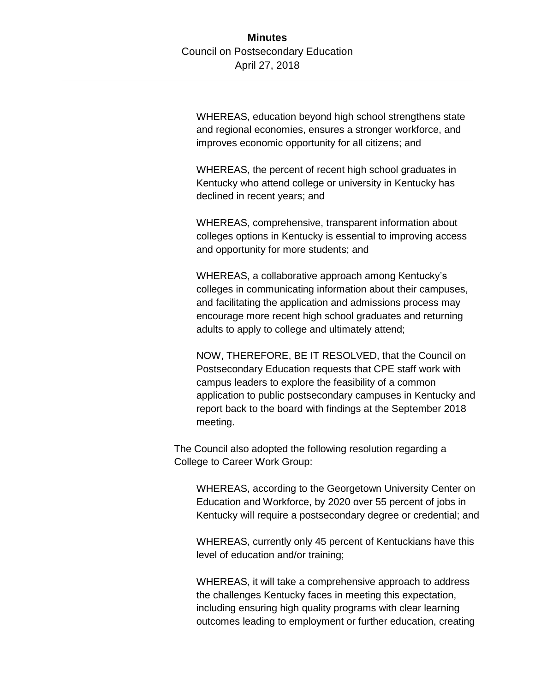WHEREAS, education beyond high school strengthens state and regional economies, ensures a stronger workforce, and improves economic opportunity for all citizens; and

WHEREAS, the percent of recent high school graduates in Kentucky who attend college or university in Kentucky has declined in recent years; and

WHEREAS, comprehensive, transparent information about colleges options in Kentucky is essential to improving access and opportunity for more students; and

WHEREAS, a collaborative approach among Kentucky's colleges in communicating information about their campuses, and facilitating the application and admissions process may encourage more recent high school graduates and returning adults to apply to college and ultimately attend;

NOW, THEREFORE, BE IT RESOLVED, that the Council on Postsecondary Education requests that CPE staff work with campus leaders to explore the feasibility of a common application to public postsecondary campuses in Kentucky and report back to the board with findings at the September 2018 meeting.

The Council also adopted the following resolution regarding a College to Career Work Group:

WHEREAS, according to the Georgetown University Center on Education and Workforce, by 2020 over 55 percent of jobs in Kentucky will require a postsecondary degree or credential; and

WHEREAS, currently only 45 percent of Kentuckians have this level of education and/or training;

WHEREAS, it will take a comprehensive approach to address the challenges Kentucky faces in meeting this expectation, including ensuring high quality programs with clear learning outcomes leading to employment or further education, creating